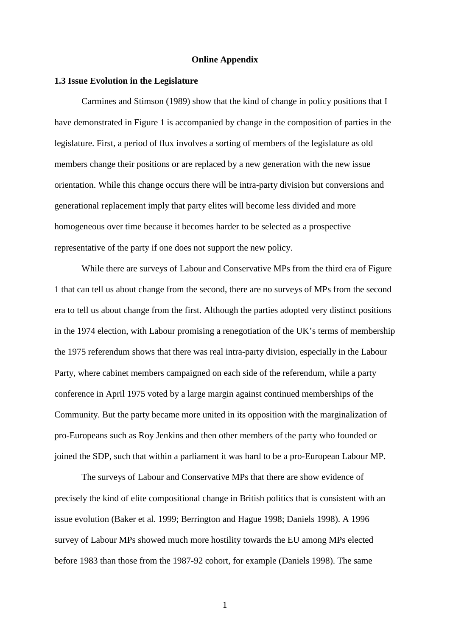#### **Online Appendix**

#### **1.3 Issue Evolution in the Legislature**

Carmines and Stimson (1989) show that the kind of change in policy positions that I have demonstrated in Figure 1 is accompanied by change in the composition of parties in the legislature. First, a period of flux involves a sorting of members of the legislature as old members change their positions or are replaced by a new generation with the new issue orientation. While this change occurs there will be intra-party division but conversions and generational replacement imply that party elites will become less divided and more homogeneous over time because it becomes harder to be selected as a prospective representative of the party if one does not support the new policy.

While there are surveys of Labour and Conservative MPs from the third era of Figure 1 that can tell us about change from the second, there are no surveys of MPs from the second era to tell us about change from the first. Although the parties adopted very distinct positions in the 1974 election, with Labour promising a renegotiation of the UK's terms of membership the 1975 referendum shows that there was real intra-party division, especially in the Labour Party, where cabinet members campaigned on each side of the referendum, while a party conference in April 1975 voted by a large margin against continued memberships of the Community. But the party became more united in its opposition with the marginalization of pro-Europeans such as Roy Jenkins and then other members of the party who founded or joined the SDP, such that within a parliament it was hard to be a pro-European Labour MP.

The surveys of Labour and Conservative MPs that there are show evidence of precisely the kind of elite compositional change in British politics that is consistent with an issue evolution (Baker et al. 1999; Berrington and Hague 1998; Daniels 1998). A 1996 survey of Labour MPs showed much more hostility towards the EU among MPs elected before 1983 than those from the 1987-92 cohort, for example (Daniels 1998). The same

1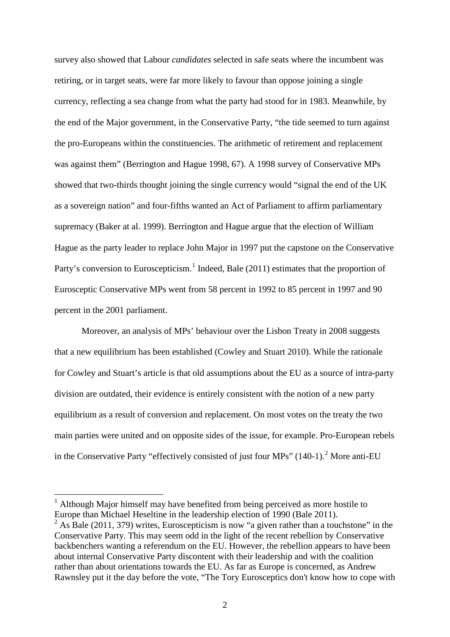survey also showed that Labour *candidates* selected in safe seats where the incumbent was retiring, or in target seats, were far more likely to favour than oppose joining a single currency, reflecting a sea change from what the party had stood for in 1983. Meanwhile, by the end of the Major government, in the Conservative Party, "the tide seemed to turn against the pro-Europeans within the constituencies. The arithmetic of retirement and replacement was against them" (Berrington and Hague 1998, 67). A 1998 survey of Conservative MPs showed that two-thirds thought joining the single currency would "signal the end of the UK as a sovereign nation" and four-fifths wanted an Act of Parliament to affirm parliamentary supremacy (Baker at al. 1999). Berrington and Hague argue that the election of William Hague as the party leader to replace John Major in 1997 put the capstone on the Conservative Party's conversion to Euroscepticism.<sup>[1](#page-1-0)</sup> Indeed, Bale (2011) estimates that the proportion of Eurosceptic Conservative MPs went from 58 percent in 1992 to 85 percent in 1997 and 90 percent in the 2001 parliament.

Moreover, an analysis of MPs' behaviour over the Lisbon Treaty in 2008 suggests that a new equilibrium has been established (Cowley and Stuart 2010). While the rationale for Cowley and Stuart's article is that old assumptions about the EU as a source of intra-party division are outdated, their evidence is entirely consistent with the notion of a new party equilibrium as a result of conversion and replacement. On most votes on the treaty the two main parties were united and on opposite sides of the issue, for example. Pro-European rebels in the Conservative Party "effectively consisted of just four MPs" (140-1).<sup>[2](#page-1-1)</sup> More anti-EU

<span id="page-1-0"></span><sup>&</sup>lt;sup>1</sup> Although Major himself may have benefited from being perceived as more hostile to Europe than Michael Heseltine in the leadership election of 1990 (Bale 2011).

<span id="page-1-1"></span><sup>&</sup>lt;sup>2</sup> As Bale (2011, 379) writes, Euroscepticism is now "a given rather than a touchstone" in the Conservative Party. This may seem odd in the light of the recent rebellion by Conservative backbenchers wanting a referendum on the EU. However, the rebellion appears to have been about internal Conservative Party discontent with their leadership and with the coalition rather than about orientations towards the EU. As far as Europe is concerned, as Andrew Rawnsley put it the day before the vote, "The Tory Eurosceptics don't know how to cope with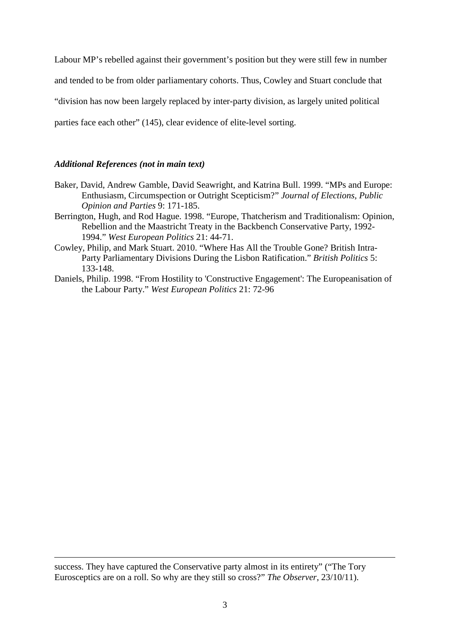Labour MP's rebelled against their government's position but they were still few in number and tended to be from older parliamentary cohorts. Thus, Cowley and Stuart conclude that "division has now been largely replaced by inter-party division, as largely united political parties face each other" (145), clear evidence of elite-level sorting.

# *Additional References (not in main text)*

<u>.</u>

- Baker, David, Andrew Gamble, David Seawright, and Katrina Bull. 1999. "MPs and Europe: Enthusiasm, Circumspection or Outright Scepticism?" *Journal of Elections, Public Opinion and Parties* 9: 171-185.
- Berrington, Hugh, and Rod Hague. 1998. "Europe, Thatcherism and Traditionalism: Opinion, Rebellion and the Maastricht Treaty in the Backbench Conservative Party, 1992- 1994." *West European Politics* 21: 44-71.
- Cowley, Philip, and Mark Stuart. 2010. "Where Has All the Trouble Gone? British Intra-Party Parliamentary Divisions During the Lisbon Ratification." *British Politics* 5: 133-148.
- Daniels, Philip. 1998. "From Hostility to 'Constructive Engagement': The Europeanisation of the Labour Party." *West European Politics* 21: 72-96

success. They have captured the Conservative party almost in its entirety" ("The Tory Eurosceptics are on a roll. So why are they still so cross?" *The Observer*, 23/10/11).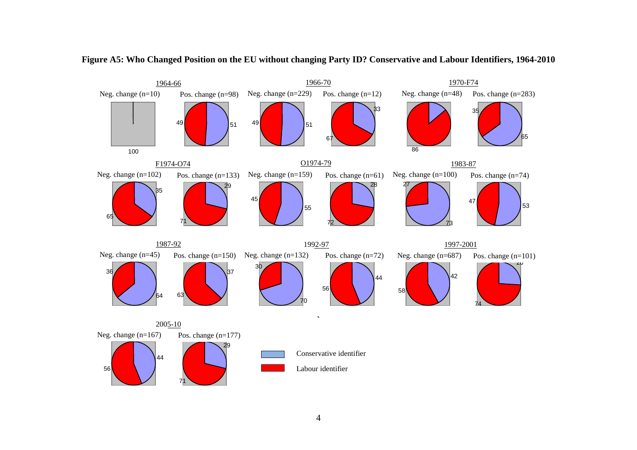

**Figure A5: Who Changed Position on the EU without changing Party ID? Conservative and Labour Identifiers, 1964-2010**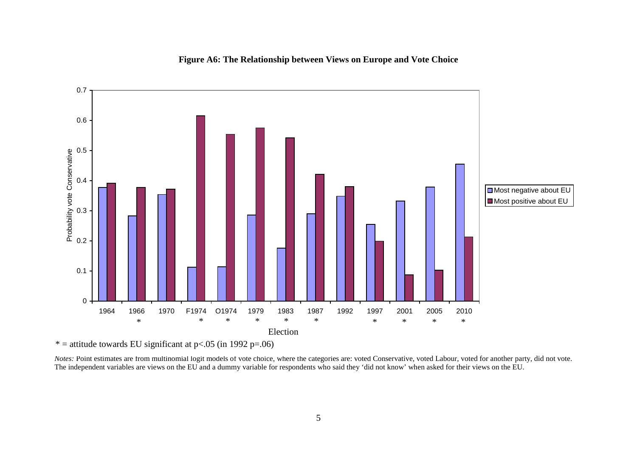

# **Figure A6: The Relationship between Views on Europe and Vote Choice**

\* = attitude towards EU significant at  $p < .05$  (in 1992 p=.06)

*Notes:* Point estimates are from multinomial logit models of vote choice, where the categories are: voted Conservative, voted Labour, voted for another party, did not vote. The independent variables are views on the EU and a dummy variable for respondents who said they 'did not know' when asked for their views on the EU.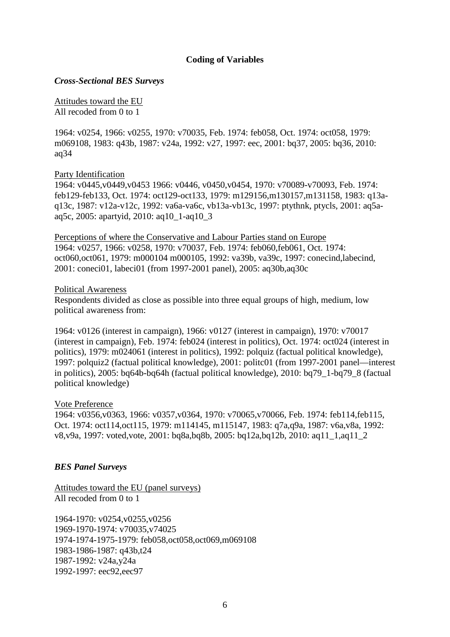# **Coding of Variables**

### *Cross-Sectional BES Surveys*

Attitudes toward the EU All recoded from 0 to 1

1964: v0254, 1966: v0255, 1970: v70035, Feb. 1974: feb058, Oct. 1974: oct058, 1979: m069108, 1983: q43b, 1987: v24a, 1992: v27, 1997: eec, 2001: bq37, 2005: bq36, 2010: aq34

# Party Identification

1964: v0445,v0449,v0453 1966: v0446, v0450,v0454, 1970: v70089-v70093, Feb. 1974: feb129-feb133, Oct. 1974: oct129-oct133, 1979: m129156,m130157,m131158, 1983: q13aq13c, 1987: v12a-v12c, 1992: va6a-va6c, vb13a-vb13c, 1997: ptythnk, ptycls, 2001: aq5aaq5c, 2005: apartyid, 2010: aq10\_1-aq10\_3

Perceptions of where the Conservative and Labour Parties stand on Europe 1964: v0257, 1966: v0258, 1970: v70037, Feb. 1974: feb060,feb061, Oct. 1974: oct060,oct061, 1979: m000104 m000105, 1992: va39b, va39c, 1997: conecind,labecind, 2001: coneci01, labeci01 (from 1997-2001 panel), 2005: aq30b,aq30c

### Political Awareness

Respondents divided as close as possible into three equal groups of high, medium, low political awareness from:

1964: v0126 (interest in campaign), 1966: v0127 (interest in campaign), 1970: v70017 (interest in campaign), Feb. 1974: feb024 (interest in politics), Oct. 1974: oct024 (interest in politics), 1979: m024061 (interest in politics), 1992: polquiz (factual political knowledge), 1997: polquiz2 (factual political knowledge), 2001: politc01 (from 1997-2001 panel—interest in politics), 2005: bq64b-bq64h (factual political knowledge), 2010: bq79\_1-bq79\_8 (factual political knowledge)

# Vote Preference

1964: v0356,v0363, 1966: v0357,v0364, 1970: v70065,v70066, Feb. 1974: feb114,feb115, Oct. 1974: oct114,oct115, 1979: m114145, m115147, 1983: q7a,q9a, 1987: v6a,v8a, 1992: v8,v9a, 1997: voted,vote, 2001: bq8a,bq8b, 2005: bq12a,bq12b, 2010: aq11\_1,aq11\_2

# *BES Panel Surveys*

Attitudes toward the EU (panel surveys) All recoded from 0 to 1

1964-1970: v0254,v0255,v0256 1969-1970-1974: v70035,v74025 1974-1974-1975-1979: feb058,oct058,oct069,m069108 1983-1986-1987: q43b,t24 1987-1992: v24a,y24a 1992-1997: eec92,eec97